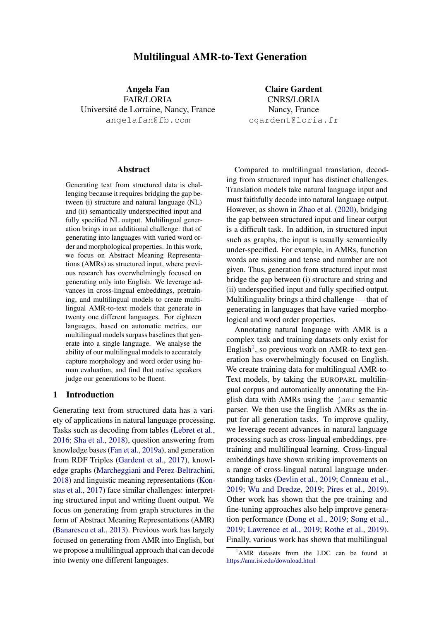# Multilingual AMR-to-Text Generation

Angela Fan FAIR/LORIA Universite de Lorraine, Nancy, France ´ angelafan@fb.com

Claire Gardent CNRS/LORIA Nancy, France cgardent@loria.fr

#### Abstract

Generating text from structured data is challenging because it requires bridging the gap between (i) structure and natural language (NL) and (ii) semantically underspecified input and fully specified NL output. Multilingual generation brings in an additional challenge: that of generating into languages with varied word order and morphological properties. In this work, we focus on Abstract Meaning Representations (AMRs) as structured input, where previous research has overwhelmingly focused on generating only into English. We leverage advances in cross-lingual embeddings, pretraining, and multilingual models to create multilingual AMR-to-text models that generate in twenty one different languages. For eighteen languages, based on automatic metrics, our multilingual models surpass baselines that generate into a single language. We analyse the ability of our multilingual models to accurately capture morphology and word order using human evaluation, and find that native speakers judge our generations to be fluent.

## 1 Introduction

Generating text from structured data has a variety of applications in natural language processing. Tasks such as decoding from tables [\(Lebret et al.,](#page-9-0) [2016;](#page-9-0) [Sha et al.,](#page-10-0) [2018\)](#page-10-0), question answering from knowledge bases [\(Fan et al.,](#page-9-1) [2019a\)](#page-9-1), and generation from RDF Triples [\(Gardent et al.,](#page-9-2) [2017\)](#page-9-2), knowledge graphs [\(Marcheggiani and Perez-Beltrachini,](#page-10-1) [2018\)](#page-10-1) and linguistic meaning representations [\(Kon](#page-9-3)[stas et al.,](#page-9-3) [2017\)](#page-9-3) face similar challenges: interpreting structured input and writing fluent output. We focus on generating from graph structures in the form of Abstract Meaning Representations (AMR) [\(Banarescu et al.,](#page-8-0) [2013\)](#page-8-0). Previous work has largely focused on generating from AMR into English, but we propose a multilingual approach that can decode into twenty one different languages.

Compared to multilingual translation, decoding from structured input has distinct challenges. Translation models take natural language input and must faithfully decode into natural language output. However, as shown in [Zhao et al.](#page-11-0) [\(2020\)](#page-11-0), bridging the gap between structured input and linear output is a difficult task. In addition, in structured input such as graphs, the input is usually semantically under-specified. For example, in AMRs, function words are missing and tense and number are not given. Thus, generation from structured input must bridge the gap between (i) structure and string and (ii) underspecified input and fully specified output. Multilinguality brings a third challenge — that of generating in languages that have varied morphological and word order properties.

Annotating natural language with AMR is a complex task and training datasets only exist for English<sup>[1](#page-0-0)</sup>, so previous work on AMR-to-text generation has overwhelmingly focused on English. We create training data for multilingual AMR-to-Text models, by taking the EUROPARL multilingual corpus and automatically annotating the English data with AMRs using the jamr semantic parser. We then use the English AMRs as the input for all generation tasks. To improve quality, we leverage recent advances in natural language processing such as cross-lingual embeddings, pretraining and multilingual learning. Cross-lingual embeddings have shown striking improvements on a range of cross-lingual natural language understanding tasks [\(Devlin et al.,](#page-9-4) [2019;](#page-9-4) [Conneau et al.,](#page-8-1) [2019;](#page-8-1) [Wu and Dredze,](#page-11-1) [2019;](#page-11-1) [Pires et al.,](#page-10-2) [2019\)](#page-10-2). Other work has shown that the pre-training and fine-tuning approaches also help improve generation performance [\(Dong et al.,](#page-9-5) [2019;](#page-9-5) [Song et al.,](#page-10-3) [2019;](#page-10-3) [Lawrence et al.,](#page-9-6) [2019;](#page-9-6) [Rothe et al.,](#page-10-4) [2019\)](#page-10-4). Finally, various work has shown that multilingual

<span id="page-0-0"></span><sup>&</sup>lt;sup>1</sup>AMR datasets from the LDC can be found at <https://amr.isi.edu/download.html>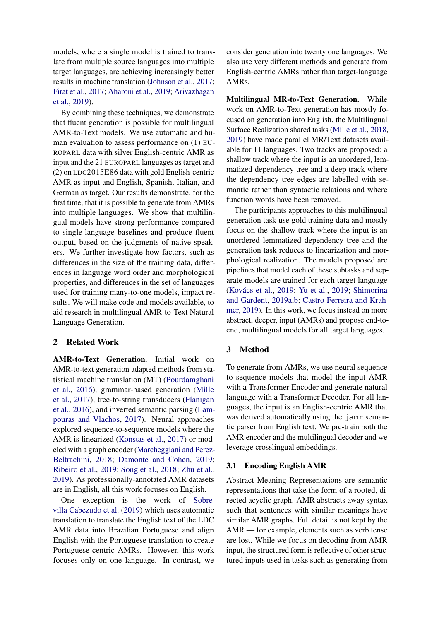models, where a single model is trained to translate from multiple source languages into multiple target languages, are achieving increasingly better results in machine translation [\(Johnson et al.,](#page-9-7) [2017;](#page-9-7) [Firat et al.,](#page-9-8) [2017;](#page-9-8) [Aharoni et al.,](#page-8-2) [2019;](#page-8-2) [Arivazhagan](#page-8-3) [et al.,](#page-8-3) [2019\)](#page-8-3).

By combining these techniques, we demonstrate that fluent generation is possible for multilingual AMR-to-Text models. We use automatic and human evaluation to assess performance on (1) EU-ROPARL data with silver English-centric AMR as input and the 21 EUROPARL languages as target and (2) on LDC2015E86 data with gold English-centric AMR as input and English, Spanish, Italian, and German as target. Our results demonstrate, for the first time, that it is possible to generate from AMRs into multiple languages. We show that multilingual models have strong performance compared to single-language baselines and produce fluent output, based on the judgments of native speakers. We further investigate how factors, such as differences in the size of the training data, differences in language word order and morphological properties, and differences in the set of languages used for training many-to-one models, impact results. We will make code and models available, to aid research in multilingual AMR-to-Text Natural Language Generation.

# 2 Related Work

AMR-to-Text Generation. Initial work on AMR-to-text generation adapted methods from statistical machine translation (MT) [\(Pourdamghani](#page-10-5) [et al.,](#page-10-5) [2016\)](#page-10-5), grammar-based generation [\(Mille](#page-10-6) [et al.,](#page-10-6) [2017\)](#page-10-6), tree-to-string transducers [\(Flanigan](#page-9-9) [et al.,](#page-9-9) [2016\)](#page-9-9), and inverted semantic parsing [\(Lam](#page-9-10)[pouras and Vlachos,](#page-9-10) [2017\)](#page-9-10). Neural approaches explored sequence-to-sequence models where the AMR is linearized [\(Konstas et al.,](#page-9-3) [2017\)](#page-9-3) or modeled with a graph encoder [\(Marcheggiani and Perez-](#page-10-1)[Beltrachini,](#page-10-1) [2018;](#page-10-1) [Damonte and Cohen,](#page-9-11) [2019;](#page-9-11) [Ribeiro et al.,](#page-10-7) [2019;](#page-10-7) [Song et al.,](#page-10-8) [2018;](#page-10-8) [Zhu et al.,](#page-11-2) [2019\)](#page-11-2). As professionally-annotated AMR datasets are in English, all this work focuses on English.

One exception is the work of [Sobre](#page-10-9)[villa Cabezudo et al.](#page-10-9) [\(2019\)](#page-10-9) which uses automatic translation to translate the English text of the LDC AMR data into Brazilian Portuguese and align English with the Portuguese translation to create Portuguese-centric AMRs. However, this work focuses only on one language. In contrast, we

consider generation into twenty one languages. We also use very different methods and generate from English-centric AMRs rather than target-language AMRs.

Multilingual MR-to-Text Generation. While work on AMR-to-Text generation has mostly focused on generation into English, the Multilingual Surface Realization shared tasks [\(Mille et al.,](#page-10-10) [2018,](#page-10-10) [2019\)](#page-10-11) have made parallel MR/Text datasets available for 11 languages. Two tracks are proposed: a shallow track where the input is an unordered, lemmatized dependency tree and a deep track where the dependency tree edges are labelled with semantic rather than syntactic relations and where function words have been removed.

The participants approaches to this multilingual generation task use gold training data and mostly focus on the shallow track where the input is an unordered lemmatized dependency tree and the generation task reduces to linearization and morphological realization. The models proposed are pipelines that model each of these subtasks and separate models are trained for each target language (Kovács et al., [2019;](#page-11-3) [Yu et al.,](#page-11-3) 2019; [Shimorina](#page-10-12) [and Gardent,](#page-10-12) [2019a,](#page-10-12)[b;](#page-10-13) [Castro Ferreira and Krah](#page-8-4)[mer,](#page-8-4) [2019\)](#page-8-4). In this work, we focus instead on more abstract, deeper, input (AMRs) and propose end-toend, multilingual models for all target languages.

### 3 Method

To generate from AMRs, we use neural sequence to sequence models that model the input AMR with a Transformer Encoder and generate natural language with a Transformer Decoder. For all languages, the input is an English-centric AMR that was derived automatically using the jamr semantic parser from English text. We pre-train both the AMR encoder and the multilingual decoder and we leverage crosslingual embeddings.

### 3.1 Encoding English AMR

Abstract Meaning Representations are semantic representations that take the form of a rooted, directed acyclic graph. AMR abstracts away syntax such that sentences with similar meanings have similar AMR graphs. Full detail is not kept by the AMR — for example, elements such as verb tense are lost. While we focus on decoding from AMR input, the structured form is reflective of other structured inputs used in tasks such as generating from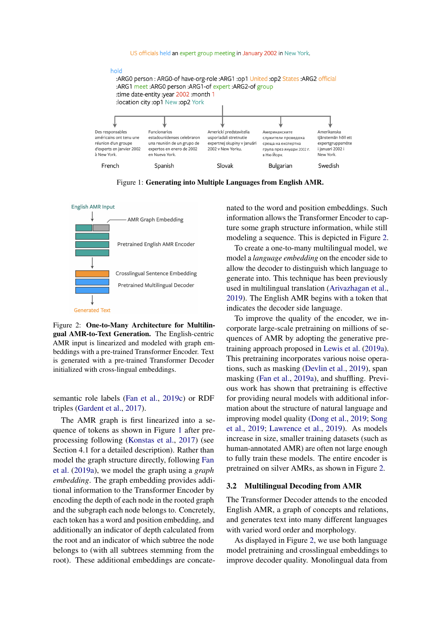<span id="page-2-0"></span>

Figure 1: Generating into Multiple Languages from English AMR.

<span id="page-2-1"></span>

Figure 2: One-to-Many Architecture for Multilingual AMR-to-Text Generation. The English-centric AMR input is linearized and modeled with graph embeddings with a pre-trained Transformer Encoder. Text is generated with a pre-trained Transformer Decoder initialized with cross-lingual embeddings.

semantic role labels [\(Fan et al.,](#page-9-13) [2019c\)](#page-9-13) or RDF triples [\(Gardent et al.,](#page-9-2) [2017\)](#page-9-2).

The AMR graph is first linearized into a sequence of tokens as shown in Figure [1](#page-2-0) after preprocessing following [\(Konstas et al.,](#page-9-3) [2017\)](#page-9-3) (see Section 4.1 for a detailed description). Rather than model the graph structure directly, following [Fan](#page-9-1) [et al.](#page-9-1) [\(2019a\)](#page-9-1), we model the graph using a *graph embedding*. The graph embedding provides additional information to the Transformer Encoder by encoding the depth of each node in the rooted graph and the subgraph each node belongs to. Concretely, each token has a word and position embedding, and additionally an indicator of depth calculated from the root and an indicator of which subtree the node belongs to (with all subtrees stemming from the root). These additional embeddings are concatenated to the word and position embeddings. Such information allows the Transformer Encoder to capture some graph structure information, while still modeling a sequence. This is depicted in Figure [2.](#page-2-1)

To create a one-to-many multilingual model, we model a *language embedding* on the encoder side to allow the decoder to distinguish which language to generate into. This technique has been previously used in multilingual translation [\(Arivazhagan et al.,](#page-8-3) [2019\)](#page-8-3). The English AMR begins with a token that indicates the decoder side language.

To improve the quality of the encoder, we incorporate large-scale pretraining on millions of sequences of AMR by adopting the generative pretraining approach proposed in [Lewis et al.](#page-9-14) [\(2019a\)](#page-9-14). This pretraining incorporates various noise operations, such as masking [\(Devlin et al.,](#page-9-4) [2019\)](#page-9-4), span masking [\(Fan et al.,](#page-9-1) [2019a\)](#page-9-1), and shuffling. Previous work has shown that pretraining is effective for providing neural models with additional information about the structure of natural language and improving model quality [\(Dong et al.,](#page-9-5) [2019;](#page-9-5) [Song](#page-10-3) [et al.,](#page-10-3) [2019;](#page-10-3) [Lawrence et al.,](#page-9-6) [2019\)](#page-9-6). As models increase in size, smaller training datasets (such as human-annotated AMR) are often not large enough to fully train these models. The entire encoder is pretrained on silver AMRs, as shown in Figure [2.](#page-2-1)

#### 3.2 Multilingual Decoding from AMR

The Transformer Decoder attends to the encoded English AMR, a graph of concepts and relations, and generates text into many different languages with varied word order and morphology.

As displayed in Figure [2,](#page-2-1) we use both language model pretraining and crosslingual embeddings to improve decoder quality. Monolingual data from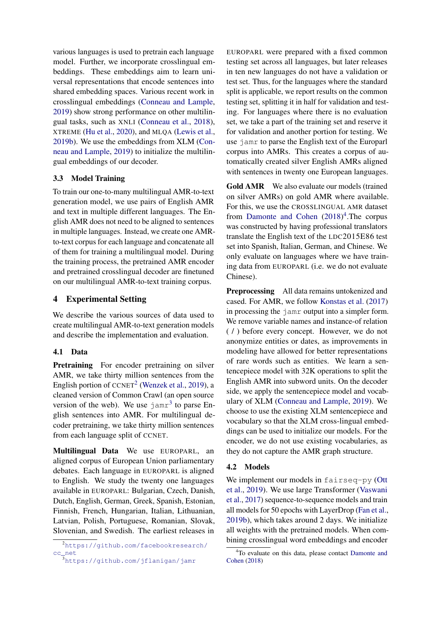various languages is used to pretrain each language model. Further, we incorporate crosslingual embeddings. These embeddings aim to learn universal representations that encode sentences into shared embedding spaces. Various recent work in crosslingual embeddings [\(Conneau and Lample,](#page-9-15) [2019\)](#page-9-15) show strong performance on other multilingual tasks, such as XNLI [\(Conneau et al.,](#page-9-16) [2018\)](#page-9-16), XTREME [\(Hu et al.,](#page-9-17) [2020\)](#page-9-17), and MLQA [\(Lewis et al.,](#page-10-14) [2019b\)](#page-10-14). We use the embeddings from XLM [\(Con](#page-9-15)[neau and Lample,](#page-9-15) [2019\)](#page-9-15) to initialize the multilingual embeddings of our decoder.

# 3.3 Model Training

To train our one-to-many multilingual AMR-to-text generation model, we use pairs of English AMR and text in multiple different languages. The English AMR does not need to be aligned to sentences in multiple languages. Instead, we create one AMRto-text corpus for each language and concatenate all of them for training a multilingual model. During the training process, the pretrained AMR encoder and pretrained crosslingual decoder are finetuned on our multilingual AMR-to-text training corpus.

# 4 Experimental Setting

We describe the various sources of data used to create multilingual AMR-to-text generation models and describe the implementation and evaluation.

### 4.1 Data

Pretraining For encoder pretraining on silver AMR, we take thirty million sentences from the English portion of  $C\text{CNET}^2$  $C\text{CNET}^2$  [\(Wenzek et al.,](#page-11-4) [2019\)](#page-11-4), a cleaned version of Common Crawl (an open source version of the web). We use  $\frac{1}{2}$  amr<sup>[3](#page-3-1)</sup> to parse English sentences into AMR. For multilingual decoder pretraining, we take thirty million sentences from each language split of CCNET.

Multilingual Data We use EUROPARL, an aligned corpus of European Union parliamentary debates. Each language in EUROPARL is aligned to English. We study the twenty one languages available in EUROPARL: Bulgarian, Czech, Danish, Dutch, English, German, Greek, Spanish, Estonian, Finnish, French, Hungarian, Italian, Lithuanian, Latvian, Polish, Portuguese, Romanian, Slovak, Slovenian, and Swedish. The earliest releases in

EUROPARL were prepared with a fixed common testing set across all languages, but later releases in ten new languages do not have a validation or test set. Thus, for the languages where the standard split is applicable, we report results on the common testing set, splitting it in half for validation and testing. For languages where there is no evaluation set, we take a part of the training set and reserve it for validation and another portion for testing. We use jamr to parse the English text of the Europarl corpus into AMRs. This creates a corpus of automatically created silver English AMRs aligned with sentences in twenty one European languages.

Gold AMR We also evaluate our models (trained on silver AMRs) on gold AMR where available. For this, we use the CROSSLINGUAL AMR dataset from [Damonte and Cohen](#page-9-18)  $(2018)^4$  $(2018)^4$  $(2018)^4$ . The corpus was constructed by having professional translators translate the English text of the LDC2015E86 test set into Spanish, Italian, German, and Chinese. We only evaluate on languages where we have training data from EUROPARL (i.e. we do not evaluate Chinese).

Preprocessing All data remains untokenized and cased. For AMR, we follow [Konstas et al.](#page-9-3) [\(2017\)](#page-9-3) in processing the jamr output into a simpler form. We remove variable names and instance-of relation ( / ) before every concept. However, we do not anonymize entities or dates, as improvements in modeling have allowed for better representations of rare words such as entities. We learn a sentencepiece model with 32K operations to split the English AMR into subword units. On the decoder side, we apply the sentencepiece model and vocabulary of XLM [\(Conneau and Lample,](#page-9-15) [2019\)](#page-9-15). We choose to use the existing XLM sentencepiece and vocabulary so that the XLM cross-lingual embeddings can be used to initialize our models. For the encoder, we do not use existing vocabularies, as they do not capture the AMR graph structure.

#### 4.2 Models

We implement our models in fairseq-py [\(Ott](#page-10-15) [et al.,](#page-10-15) [2019\)](#page-10-15). We use large Transformer [\(Vaswani](#page-10-16) [et al.,](#page-10-16) [2017\)](#page-10-16) sequence-to-sequence models and train all models for 50 epochs with LayerDrop [\(Fan et al.,](#page-9-19) [2019b\)](#page-9-19), which takes around 2 days. We initialize all weights with the pretrained models. When combining crosslingual word embeddings and encoder

<span id="page-3-0"></span><sup>2</sup>[https://github.com/facebookresearch/](https://github.com/facebookresearch/cc_net) [cc\\_net](https://github.com/facebookresearch/cc_net)

<span id="page-3-1"></span><sup>3</sup><https://github.com/jflanigan/jamr>

<span id="page-3-2"></span><sup>4</sup>To evaluate on this data, please contact [Damonte and](#page-9-18) [Cohen](#page-9-18) [\(2018\)](#page-9-18)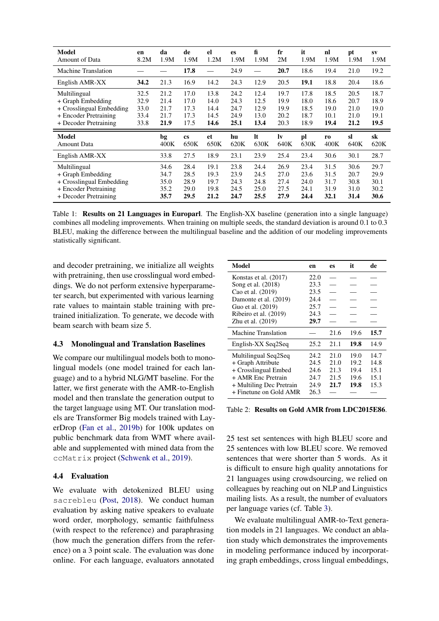<span id="page-4-0"></span>

| <b>Model</b><br><b>Amount of Data</b>                                                                           | en<br>8.2M                           | da<br>1.9M                           | de<br>1.9M                           | el<br>1.2M                           | es<br>1.9M                           | fi<br>1.9M                           | fr<br>2M                             | it<br>1.9M                           | nl<br>1.9M                           | pt<br>1.9M                           | <b>SV</b><br>1.9M                    |
|-----------------------------------------------------------------------------------------------------------------|--------------------------------------|--------------------------------------|--------------------------------------|--------------------------------------|--------------------------------------|--------------------------------------|--------------------------------------|--------------------------------------|--------------------------------------|--------------------------------------|--------------------------------------|
| <b>Machine Translation</b>                                                                                      |                                      |                                      | 17.8                                 |                                      | 24.9                                 |                                      | 20.7                                 | 18.6                                 | 19.4                                 | 21.0                                 | 19.2                                 |
| English AMR-XX                                                                                                  | 34.2                                 | 21.3                                 | 16.9                                 | 14.2                                 | 24.3                                 | 12.9                                 | 20.5                                 | 19.1                                 | 18.8                                 | 20.4                                 | 18.6                                 |
| Multilingual<br>+ Graph Embedding<br>+ Crosslingual Embedding<br>+ Encoder Pretraining<br>+ Decoder Pretraining | 32.5<br>32.9<br>33.0<br>33.4<br>33.8 | 21.2<br>21.4<br>21.7<br>21.7<br>21.9 | 17.0<br>17.0<br>17.3<br>17.3<br>17.5 | 13.8<br>14.0<br>14.4<br>14.5<br>14.6 | 24.2<br>24.3<br>24.7<br>24.9<br>25.1 | 12.4<br>12.5<br>12.9<br>13.0<br>13.4 | 19.7<br>19.9<br>19.9<br>20.2<br>20.3 | 17.8<br>18.0<br>18.5<br>18.7<br>18.9 | 18.5<br>18.6<br>19.0<br>10.1<br>19.4 | 20.5<br>20.7<br>21.0<br>21.0<br>21.2 | 18.7<br>18.9<br>19.0<br>19.1<br>19.5 |
|                                                                                                                 |                                      |                                      |                                      |                                      |                                      |                                      |                                      |                                      |                                      |                                      |                                      |
| <b>Model</b><br><b>Amount Data</b>                                                                              |                                      | bg<br>400K                           | <b>cs</b><br>650K                    | et<br>650K                           | hu<br>620K                           | lt<br>630K                           | lv<br>640K                           | pl<br>630K                           | r <sub>0</sub><br>400K               | sl<br>640K                           | sk<br>620K                           |
| English AMR-XX                                                                                                  |                                      | 33.8                                 | 27.5                                 | 18.9                                 | 23.1                                 | 23.9                                 | 25.4                                 | 23.4                                 | 30.6                                 | 30.1                                 | 28.7                                 |

Table 1: Results on 21 Languages in Europarl. The English-XX baseline (generation into a single language) combines all modeling improvements. When training on multiple seeds, the standard deviation is around 0.1 to 0.3 BLEU, making the difference between the multilingual baseline and the addition of our modeling improvements statistically significant.

and decoder pretraining, we initialize all weights with pretraining, then use crosslingual word embeddings. We do not perform extensive hyperparameter search, but experimented with various learning rate values to maintain stable training with pretrained initialization. To generate, we decode with beam search with beam size 5.

### 4.3 Monolingual and Translation Baselines

We compare our multilingual models both to monolingual models (one model trained for each language) and to a hybrid NLG/MT baseline. For the latter, we first generate with the AMR-to-English model and then translate the generation output to the target language using MT. Our translation models are Transformer Big models trained with LayerDrop [\(Fan et al.,](#page-9-19) [2019b\)](#page-9-19) for 100k updates on public benchmark data from WMT where available and supplemented with mined data from the ccMatrix project [\(Schwenk et al.,](#page-10-17) [2019\)](#page-10-17).

#### 4.4 Evaluation

We evaluate with detokenized BLEU using sacrebleu [\(Post,](#page-10-18) [2018\)](#page-10-18). We conduct human evaluation by asking native speakers to evaluate word order, morphology, semantic faithfulness (with respect to the reference) and paraphrasing (how much the generation differs from the reference) on a 3 point scale. The evaluation was done online. For each language, evaluators annotated

<span id="page-4-1"></span>

| Model                    | en   | es   | it   | de   |
|--------------------------|------|------|------|------|
| Konstas et al. $(2017)$  | 22.0 |      |      |      |
| Song et al. (2018)       | 23.3 |      |      |      |
| Cao et al. (2019)        | 23.5 |      |      |      |
| Damonte et al. (2019)    | 24.4 |      |      |      |
| Guo et al. (2019)        | 25.7 |      |      |      |
| Ribeiro et al. (2019)    | 24.3 |      |      |      |
| Zhu et al. $(2019)$      | 29.7 |      |      |      |
| Machine Translation      |      | 21.6 | 19.6 | 15.7 |
| English-XX Seq2Seq       | 25.2 | 21.1 | 19.8 | 14.9 |
| Multilingual Seq2Seq     | 24.2 | 21.0 | 19.0 | 14.7 |
| + Graph Attribute        | 24.5 | 21.0 | 19.2 | 14.8 |
| + Crosslingual Embed     | 24.6 | 21.3 | 19.4 | 15.1 |
| + AMR Enc Pretrain       | 24.7 | 21.5 | 19.6 | 15.1 |
| + Multiling Dec Pretrain | 24.9 | 21.7 | 19.8 | 15.3 |
| + Finetune on Gold AMR   | 26.3 |      |      |      |

Table 2: Results on Gold AMR from LDC2015E86.

25 test set sentences with high BLEU score and 25 sentences with low BLEU score. We removed sentences that were shorter than 5 words. As it is difficult to ensure high quality annotations for 21 languages using crowdsourcing, we relied on colleagues by reaching out on NLP and Linguistics mailing lists. As a result, the number of evaluators per language varies (cf. Table [3\)](#page-5-0).

We evaluate multilingual AMR-to-Text generation models in 21 languages. We conduct an ablation study which demonstrates the improvements in modeling performance induced by incorporating graph embeddings, cross lingual embeddings,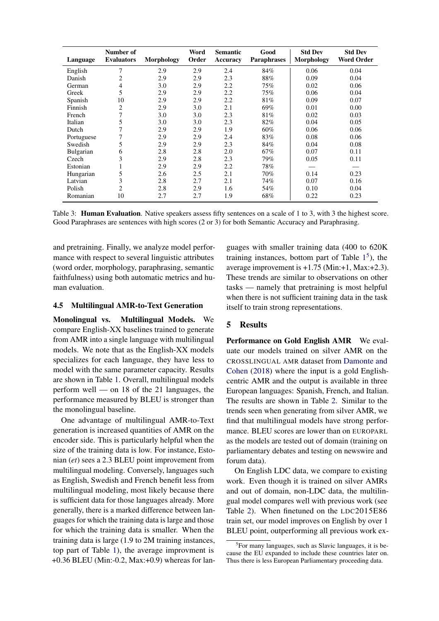<span id="page-5-0"></span>

| Language         | Number of<br><b>Evaluators</b> | Morphology | Word<br>Order | <b>Semantic</b><br>Accuracy | Good<br><b>Paraphrases</b> | <b>Std Dev</b><br><b>Morphology</b> | <b>Std Dev</b><br><b>Word Order</b> |
|------------------|--------------------------------|------------|---------------|-----------------------------|----------------------------|-------------------------------------|-------------------------------------|
| English          | 7                              | 2.9        | 2.9           | 2.4                         | 84%                        | 0.06                                | 0.04                                |
| Danish           | 2                              | 2.9        | 2.9           | 2.3                         | 88%                        | 0.09                                | 0.04                                |
| German           | 4                              | 3.0        | 2.9           | 2.2                         | 75%                        | 0.02                                | 0.06                                |
| Greek            | 5                              | 2.9        | 2.9           | 2.2                         | 75%                        | 0.06                                | 0.04                                |
| Spanish          | 10                             | 2.9        | 2.9           | 2.2                         | 81%                        | 0.09                                | 0.07                                |
| Finnish          | 2                              | 2.9        | 3.0           | 2.1                         | 69%                        | 0.01                                | 0.00                                |
| French           | 7                              | 3.0        | 3.0           | 2.3                         | 81%                        | 0.02                                | 0.03                                |
| Italian          | 5                              | 3.0        | 3.0           | 2.3                         | 82%                        | 0.04                                | 0.05                                |
| Dutch            |                                | 2.9        | 2.9           | 1.9                         | $60\%$                     | 0.06                                | 0.06                                |
| Portuguese       |                                | 2.9        | 2.9           | 2.4                         | 83%                        | 0.08                                | 0.06                                |
| Swedish          | 5                              | 2.9        | 2.9           | 2.3                         | 84%                        | 0.04                                | 0.08                                |
| <b>Bulgarian</b> | 6                              | 2.8        | 2.8           | 2.0                         | 67%                        | 0.07                                | 0.11                                |
| Czech            | 3                              | 2.9        | 2.8           | 2.3                         | 79%                        | 0.05                                | 0.11                                |
| Estonian         |                                | 2.9        | 2.9           | 2.2                         | 78%                        |                                     |                                     |
| Hungarian        | 5                              | 2.6        | 2.5           | 2.1                         | 70%                        | 0.14                                | 0.23                                |
| Latvian          | 3                              | 2.8        | 2.7           | 2.1                         | 74%                        | 0.07                                | 0.16                                |
| Polish           | $\overline{c}$                 | 2.8        | 2.9           | 1.6                         | 54%                        | 0.10                                | 0.04                                |
| Romanian         | 10                             | 2.7        | 2.7           | 1.9                         | 68%                        | 0.22                                | 0.23                                |

Table 3: Human Evaluation. Native speakers assess fifty sentences on a scale of 1 to 3, with 3 the highest score. Good Paraphrases are sentences with high scores (2 or 3) for both Semantic Accuracy and Paraphrasing.

and pretraining. Finally, we analyze model performance with respect to several linguistic attributes (word order, morphology, paraphrasing, semantic faithfulness) using both automatic metrics and human evaluation.

#### 4.5 Multilingual AMR-to-Text Generation

Monolingual vs. Multilingual Models. We compare English-XX baselines trained to generate from AMR into a single language with multilingual models. We note that as the English-XX models specializes for each language, they have less to model with the same parameter capacity. Results are shown in Table [1.](#page-4-0) Overall, multilingual models perform well — on 18 of the 21 languages, the performance measured by BLEU is stronger than the monolingual baseline.

One advantage of multilingual AMR-to-Text generation is increased quantities of AMR on the encoder side. This is particularly helpful when the size of the training data is low. For instance, Estonian (*et*) sees a 2.3 BLEU point improvement from multilingual modeling. Conversely, languages such as English, Swedish and French benefit less from multilingual modeling, most likely because there is sufficient data for those languages already. More generally, there is a marked difference between languages for which the training data is large and those for which the training data is smaller. When the training data is large (1.9 to 2M training instances, top part of Table [1\)](#page-4-0), the average improvment is +0.36 BLEU (Min:-0.2, Max:+0.9) whereas for lan-

guages with smaller training data (400 to 620K training instances, bottom part of Table  $1<sup>5</sup>$  $1<sup>5</sup>$  $1<sup>5</sup>$  $1<sup>5</sup>$ ), the average improvement is +1.75 (Min:+1, Max:+2.3). These trends are similar to observations on other tasks — namely that pretraining is most helpful when there is not sufficient training data in the task itself to train strong representations.

### 5 Results

Performance on Gold English AMR We evaluate our models trained on silver AMR on the CROSSLINGUAL AMR dataset from [Damonte and](#page-9-18) [Cohen](#page-9-18) [\(2018\)](#page-9-18) where the input is a gold Englishcentric AMR and the output is available in three European languages: Spanish, French, and Italian. The results are shown in Table [2.](#page-4-1) Similar to the trends seen when generating from silver AMR, we find that multilingual models have strong performance. BLEU scores are lower than on EUROPARL as the models are tested out of domain (training on parliamentary debates and testing on newswire and forum data).

On English LDC data, we compare to existing work. Even though it is trained on silver AMRs and out of domain, non-LDC data, the multilingual model compares well with previous work (see Table [2\)](#page-4-1). When finetuned on the LDC2015E86 train set, our model improves on English by over 1 BLEU point, outperforming all previous work ex-

<span id="page-5-1"></span><sup>5</sup> For many languages, such as Slavic languages, it is because the EU expanded to include these countries later on. Thus there is less European Parliamentary proceeding data.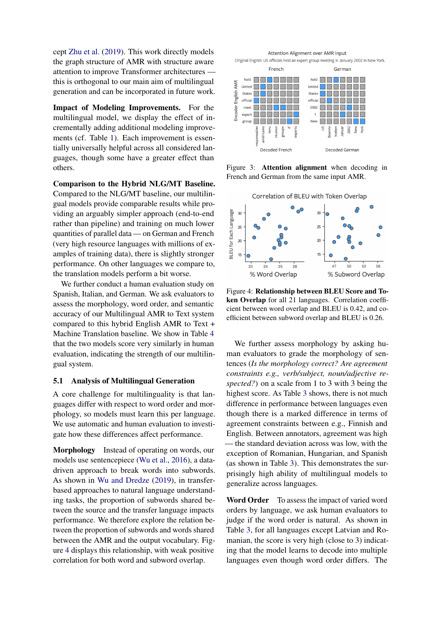cept [Zhu et al.](#page-11-2) [\(2019\)](#page-11-2). This work directly models the graph structure of AMR with structure aware attention to improve Transformer architectures this is orthogonal to our main aim of multilingual generation and can be incorporated in future work.

Impact of Modeling Improvements. For the multilingual model, we display the effect of incrementally adding additional modeling improvements (cf. Table [1\)](#page-4-0). Each improvement is essentially universally helpful across all considered languages, though some have a greater effect than others.

Comparison to the Hybrid NLG/MT Baseline. Compared to the NLG/MT baseline, our multilingual models provide comparable results while providing an arguably simpler approach (end-to-end rather than pipeline) and training on much lower quantities of parallel data — on German and French (very high resource languages with millions of examples of training data), there is slightly stronger performance. On other languages we compare to, the translation models perform a bit worse.

We further conduct a human evaluation study on Spanish, Italian, and German. We ask evaluators to assess the morphology, word order, and semantic accuracy of our Multilingual AMR to Text system compared to this hybrid English AMR to Text + Machine Translation baseline. We show in Table [4](#page-7-0) that the two models score very similarly in human evaluation, indicating the strength of our multilingual system.

### 5.1 Analysis of Multilingual Generation

A core challenge for multilinguality is that languages differ with respect to word order and morphology, so models must learn this per language. We use automatic and human evaluation to investigate how these differences affect performance.

Morphology Instead of operating on words, our models use sentencepiece [\(Wu et al.,](#page-11-5) [2016\)](#page-11-5), a datadriven approach to break words into subwords. As shown in [Wu and Dredze](#page-11-1) [\(2019\)](#page-11-1), in transferbased approaches to natural language understanding tasks, the proportion of subwords shared between the source and the transfer language impacts performance. We therefore explore the relation between the proportion of subwords and words shared between the AMR and the output vocabulary. Figure [4](#page-6-0) displays this relationship, with weak positive correlation for both word and subword overlap.

<span id="page-6-1"></span>

Figure 3: Attention alignment when decoding in French and German from the same input AMR.

<span id="page-6-0"></span>

Figure 4: Relationship between BLEU Score and Token Overlap for all 21 languages. Correlation coefficient between word overlap and BLEU is 0.42, and coefficient between subword overlap and BLEU is 0.26.

We further assess morphology by asking human evaluators to grade the morphology of sentences (*Is the morphology correct? Are agreement constraints e.g., verb/subject, noun/adjective respected?*) on a scale from 1 to 3 with 3 being the highest score. As Table [3](#page-5-0) shows, there is not much difference in performance between languages even though there is a marked difference in terms of agreement constraints between e.g., Finnish and English. Between annotators, agreement was high — the standard deviation across was low, with the exception of Romanian, Hungarian, and Spanish (as shown in Table [3\)](#page-5-0). This demonstrates the surprisingly high ability of multilingual models to generalize across languages.

Word Order To assess the impact of varied word orders by language, we ask human evaluators to judge if the word order is natural. As shown in Table [3,](#page-5-0) for all languages except Latvian and Romanian, the score is very high (close to 3) indicating that the model learns to decode into multiple languages even though word order differs. The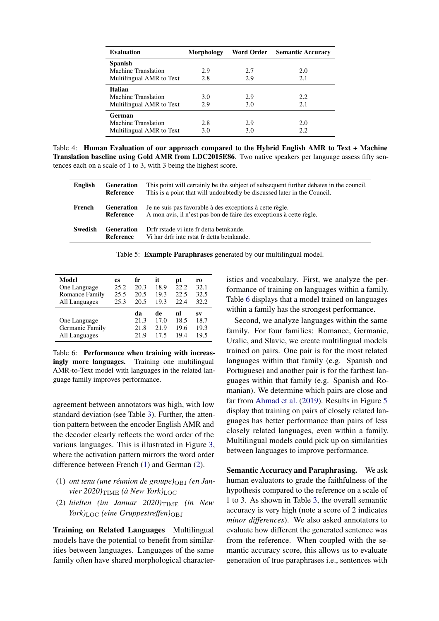<span id="page-7-0"></span>

| <b>Evaluation</b>        | <b>Morphology</b> | <b>Word Order</b> | <b>Semantic Accuracy</b> |
|--------------------------|-------------------|-------------------|--------------------------|
| <b>Spanish</b>           |                   |                   |                          |
| Machine Translation      | 2.9               | 2.7               | 2.0                      |
| Multilingual AMR to Text | 2.8               | 2.9               | 2.1                      |
| <b>Italian</b>           |                   |                   |                          |
| Machine Translation      | 3.0               | 2.9               | 2.2.                     |
| Multilingual AMR to Text | 2.9               | 3.0               | 2.1                      |
| German                   |                   |                   |                          |
| Machine Translation      | 2.8               | 2.9               | 2.0                      |
| Multilingual AMR to Text | 3.0               | 3.0               | 2.2                      |

Table 4: Human Evaluation of our approach compared to the Hybrid English AMR to Text + Machine Translation baseline using Gold AMR from LDC2015E86. Two native speakers per language assess fifty sentences each on a scale of 1 to 3, with 3 being the highest score.

<span id="page-7-4"></span>

| <b>English</b> | <b>Generation</b><br>Reference | This point will certainly be the subject of subsequent further debates in the council.<br>This is a point that will undoubtedly be discussed later in the Council. |
|----------------|--------------------------------|--------------------------------------------------------------------------------------------------------------------------------------------------------------------|
| French         | <b>Generation</b><br>Reference | Je ne suis pas favorable à des exceptions à cette règle.<br>A mon avis, il n'est pas bon de faire des exceptions à cette règle.                                    |
| Swedish        | <b>Generation</b><br>Reference | Drfr rstade vi inte fr detta betnkande.<br>Vi har drfr inte rstat fr detta betnkande.                                                                              |

|  |  |  |  | Table 5: Example Paraphrases generated by our multilingual model. |  |
|--|--|--|--|-------------------------------------------------------------------|--|
|--|--|--|--|-------------------------------------------------------------------|--|

<span id="page-7-3"></span>

| Model                                            | es   | fr                         | it                        | рt                         | r0                         |
|--------------------------------------------------|------|----------------------------|---------------------------|----------------------------|----------------------------|
| One Language                                     | 25.2 | 20.3                       | 18.9                      | 22.2                       | 32.1                       |
| Romance Family                                   | 25.5 | 20.5                       | 19.3                      | 22.5                       | 32.5                       |
| All Languages                                    | 25.3 | 20.5                       | 19.3                      | 22.4                       | 32.2                       |
| One Language<br>Germanic Family<br>All Languages |      | da<br>21.3<br>21.8<br>21.9 | de<br>17.0<br>21.9<br>175 | nl<br>18.5<br>19.6<br>19.4 | SV<br>18.7<br>19.3<br>19.5 |

Table 6: Performance when training with increasingly more languages. Training one multilingual AMR-to-Text model with languages in the related language family improves performance.

agreement between annotators was high, with low standard deviation (see Table [3\)](#page-5-0). Further, the attention pattern between the encoder English AMR and the decoder clearly reflects the word order of the various languages. This is illustrated in Figure [3,](#page-6-1) where the activation pattern mirrors the word order difference between French [\(1\)](#page-7-1) and German [\(2\)](#page-7-2).

- (1) *ont tenu (une réunion de groupe)* $_{\text{OBJ}}$  *(en Janvier* 2020) $_{\text{TIME}}$  *(à New York)* LOC
- <span id="page-7-2"></span>(2) *hielten* (*im Januar 2020*) $_{\text{TIME}}$  (*in New York*)<sub>LOC</sub> (eine Gruppestreffen)<sub>OBJ</sub>

Training on Related Languages Multilingual models have the potential to benefit from similarities between languages. Languages of the same family often have shared morphological character-

istics and vocabulary. First, we analyze the performance of training on languages within a family. Table [6](#page-7-3) displays that a model trained on languages within a family has the strongest performance.

Second, we analyze languages within the same family. For four families: Romance, Germanic, Uralic, and Slavic, we create multilingual models trained on pairs. One pair is for the most related languages within that family (e.g. Spanish and Portuguese) and another pair is for the farthest languages within that family (e.g. Spanish and Romanian). We determine which pairs are close and far from [Ahmad et al.](#page-8-5) [\(2019\)](#page-8-5). Results in Figure [5](#page-8-6) display that training on pairs of closely related languages has better performance than pairs of less closely related languages, even within a family. Multilingual models could pick up on similarities between languages to improve performance.

<span id="page-7-1"></span>Semantic Accuracy and Paraphrasing. We ask human evaluators to grade the faithfulness of the hypothesis compared to the reference on a scale of 1 to 3. As shown in Table [3,](#page-5-0) the overall semantic accuracy is very high (note a score of 2 indicates *minor differences*). We also asked annotators to evaluate how different the generated sentence was from the reference. When coupled with the semantic accuracy score, this allows us to evaluate generation of true paraphrases i.e., sentences with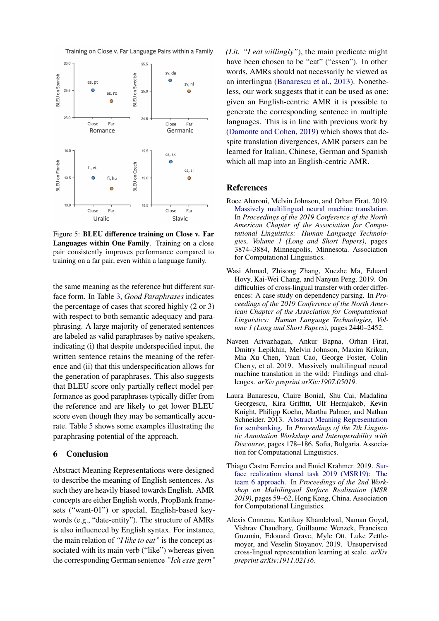<span id="page-8-6"></span>



Figure 5: BLEU difference training on Close v. Far Languages within One Family. Training on a close pair consistently improves performance compared to training on a far pair, even within a language family.

the same meaning as the reference but different surface form. In Table [3,](#page-5-0) *Good Paraphrases* indicates the percentage of cases that scored highly (2 or 3) with respect to both semantic adequacy and paraphrasing. A large majority of generated sentences are labeled as valid paraphrases by native speakers, indicating (i) that despite underspecified input, the written sentence retains the meaning of the reference and (ii) that this underspecification allows for the generation of paraphrases. This also suggests that BLEU score only partially reflect model performance as good paraphrases typically differ from the reference and are likely to get lower BLEU score even though they may be semantically accurate. Table [5](#page-7-4) shows some examples illustrating the paraphrasing potential of the approach.

## 6 Conclusion

Abstract Meaning Representations were designed to describe the meaning of English sentences. As such they are heavily biased towards English. AMR concepts are either English words, PropBank framesets ("want-01") or special, English-based keywords (e.g., "date-entity"). The structure of AMRs is also influenced by English syntax. For instance, the main relation of *"I like to eat"* is the concept associated with its main verb ("like") whereas given the corresponding German sentence *"Ich esse gern"* *(Lit. "I eat willingly"*), the main predicate might have been chosen to be "eat" ("essen"). In other words, AMRs should not necessarily be viewed as an interlingua [\(Banarescu et al.,](#page-8-0) [2013\)](#page-8-0). Nonetheless, our work suggests that it can be used as one: given an English-centric AMR it is possible to generate the corresponding sentence in multiple languages. This is in line with previous work by [\(Damonte and Cohen,](#page-9-11) [2019\)](#page-9-11) which shows that despite translation divergences, AMR parsers can be learned for Italian, Chinese, German and Spanish which all map into an English-centric AMR.

#### References

- <span id="page-8-2"></span>Roee Aharoni, Melvin Johnson, and Orhan Firat. 2019. [Massively multilingual neural machine translation.](https://doi.org/10.18653/v1/N19-1388) In *Proceedings of the 2019 Conference of the North American Chapter of the Association for Computational Linguistics: Human Language Technologies, Volume 1 (Long and Short Papers)*, pages 3874–3884, Minneapolis, Minnesota. Association for Computational Linguistics.
- <span id="page-8-5"></span>Wasi Ahmad, Zhisong Zhang, Xuezhe Ma, Eduard Hovy, Kai-Wei Chang, and Nanyun Peng. 2019. On difficulties of cross-lingual transfer with order differences: A case study on dependency parsing. In *Proceedings of the 2019 Conference of the North American Chapter of the Association for Computational Linguistics: Human Language Technologies, Volume 1 (Long and Short Papers)*, pages 2440–2452.
- <span id="page-8-3"></span>Naveen Arivazhagan, Ankur Bapna, Orhan Firat, Dmitry Lepikhin, Melvin Johnson, Maxim Krikun, Mia Xu Chen, Yuan Cao, George Foster, Colin Cherry, et al. 2019. Massively multilingual neural machine translation in the wild: Findings and challenges. *arXiv preprint arXiv:1907.05019*.
- <span id="page-8-0"></span>Laura Banarescu, Claire Bonial, Shu Cai, Madalina Georgescu, Kira Griffitt, Ulf Hermjakob, Kevin Knight, Philipp Koehn, Martha Palmer, and Nathan Schneider. 2013. [Abstract Meaning Representation](https://www.aclweb.org/anthology/W13-2322) [for sembanking.](https://www.aclweb.org/anthology/W13-2322) In *Proceedings of the 7th Linguistic Annotation Workshop and Interoperability with Discourse*, pages 178–186, Sofia, Bulgaria. Association for Computational Linguistics.
- <span id="page-8-4"></span>Thiago Castro Ferreira and Emiel Krahmer. 2019. [Sur](https://doi.org/10.18653/v1/D19-6307)[face realization shared task 2019 \(MSR19\): The](https://doi.org/10.18653/v1/D19-6307) [team 6 approach.](https://doi.org/10.18653/v1/D19-6307) In *Proceedings of the 2nd Workshop on Multilingual Surface Realisation (MSR 2019)*, pages 59–62, Hong Kong, China. Association for Computational Linguistics.
- <span id="page-8-1"></span>Alexis Conneau, Kartikay Khandelwal, Naman Goyal, Vishrav Chaudhary, Guillaume Wenzek, Francisco Guzmán, Edouard Grave, Myle Ott, Luke Zettlemoyer, and Veselin Stoyanov. 2019. Unsupervised cross-lingual representation learning at scale. *arXiv preprint arXiv:1911.02116*.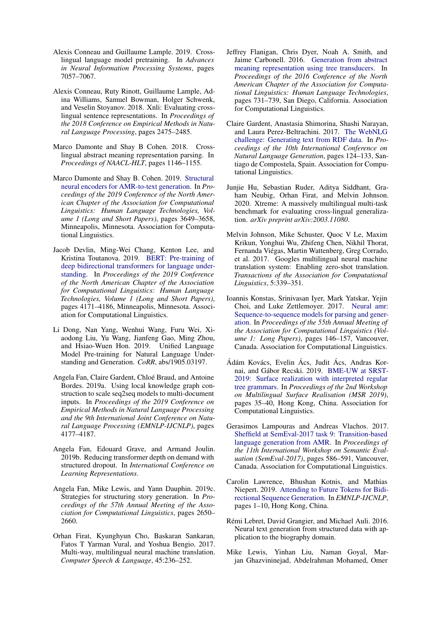- <span id="page-9-15"></span>Alexis Conneau and Guillaume Lample. 2019. Crosslingual language model pretraining. In *Advances in Neural Information Processing Systems*, pages 7057–7067.
- <span id="page-9-16"></span>Alexis Conneau, Ruty Rinott, Guillaume Lample, Adina Williams, Samuel Bowman, Holger Schwenk, and Veselin Stoyanov. 2018. Xnli: Evaluating crosslingual sentence representations. In *Proceedings of the 2018 Conference on Empirical Methods in Natural Language Processing*, pages 2475–2485.
- <span id="page-9-18"></span>Marco Damonte and Shay B Cohen. 2018. Crosslingual abstract meaning representation parsing. In *Proceedings of NAACL-HLT*, pages 1146–1155.
- <span id="page-9-11"></span>Marco Damonte and Shay B. Cohen. 2019. [Structural](https://doi.org/10.18653/v1/N19-1366) [neural encoders for AMR-to-text generation.](https://doi.org/10.18653/v1/N19-1366) In *Proceedings of the 2019 Conference of the North American Chapter of the Association for Computational Linguistics: Human Language Technologies, Volume 1 (Long and Short Papers)*, pages 3649–3658, Minneapolis, Minnesota. Association for Computational Linguistics.
- <span id="page-9-4"></span>Jacob Devlin, Ming-Wei Chang, Kenton Lee, and Kristina Toutanova. 2019. [BERT: Pre-training of](https://doi.org/10.18653/v1/N19-1423) [deep bidirectional transformers for language under](https://doi.org/10.18653/v1/N19-1423)[standing.](https://doi.org/10.18653/v1/N19-1423) In *Proceedings of the 2019 Conference of the North American Chapter of the Association for Computational Linguistics: Human Language Technologies, Volume 1 (Long and Short Papers)*, pages 4171–4186, Minneapolis, Minnesota. Association for Computational Linguistics.
- <span id="page-9-5"></span>Li Dong, Nan Yang, Wenhui Wang, Furu Wei, Xiaodong Liu, Yu Wang, Jianfeng Gao, Ming Zhou, and Hsiao-Wuen Hon. 2019. Unified Language Model Pre-training for Natural Language Understanding and Generation. *CoRR*, abs/1905.03197.
- <span id="page-9-1"></span>Angela Fan, Claire Gardent, Chloe Braud, and Antoine ´ Bordes. 2019a. Using local knowledge graph construction to scale seq2seq models to multi-document inputs. In *Proceedings of the 2019 Conference on Empirical Methods in Natural Language Processing and the 9th International Joint Conference on Natural Language Processing (EMNLP-IJCNLP)*, pages 4177–4187.
- <span id="page-9-19"></span>Angela Fan, Edouard Grave, and Armand Joulin. 2019b. Reducing transformer depth on demand with structured dropout. In *International Conference on Learning Representations*.
- <span id="page-9-13"></span>Angela Fan, Mike Lewis, and Yann Dauphin. 2019c. Strategies for structuring story generation. In *Proceedings of the 57th Annual Meeting of the Association for Computational Linguistics*, pages 2650– 2660.
- <span id="page-9-8"></span>Orhan Firat, Kyunghyun Cho, Baskaran Sankaran, Fatos T Yarman Vural, and Yoshua Bengio. 2017. Multi-way, multilingual neural machine translation. *Computer Speech & Language*, 45:236–252.
- <span id="page-9-9"></span>Jeffrey Flanigan, Chris Dyer, Noah A. Smith, and Jaime Carbonell. 2016. [Generation from abstract](https://doi.org/10.18653/v1/N16-1087) [meaning representation using tree transducers.](https://doi.org/10.18653/v1/N16-1087) In *Proceedings of the 2016 Conference of the North American Chapter of the Association for Computational Linguistics: Human Language Technologies*, pages 731–739, San Diego, California. Association for Computational Linguistics.
- <span id="page-9-2"></span>Claire Gardent, Anastasia Shimorina, Shashi Narayan, and Laura Perez-Beltrachini. 2017. [The WebNLG](https://doi.org/10.18653/v1/W17-3518) [challenge: Generating text from RDF data.](https://doi.org/10.18653/v1/W17-3518) In *Proceedings of the 10th International Conference on Natural Language Generation*, pages 124–133, Santiago de Compostela, Spain. Association for Computational Linguistics.
- <span id="page-9-17"></span>Junjie Hu, Sebastian Ruder, Aditya Siddhant, Graham Neubig, Orhan Firat, and Melvin Johnson. 2020. Xtreme: A massively multilingual multi-task benchmark for evaluating cross-lingual generalization. *arXiv preprint arXiv:2003.11080*.
- <span id="page-9-7"></span>Melvin Johnson, Mike Schuster, Quoc V Le, Maxim Krikun, Yonghui Wu, Zhifeng Chen, Nikhil Thorat, Fernanda Viegas, Martin Wattenberg, Greg Corrado, ´ et al. 2017. Googles multilingual neural machine translation system: Enabling zero-shot translation. *Transactions of the Association for Computational Linguistics*, 5:339–351.
- <span id="page-9-3"></span>Ioannis Konstas, Srinivasan Iyer, Mark Yatskar, Yejin Choi, and Luke Zettlemoyer. 2017. [Neural amr:](https://doi.org/10.18653/v1/P17-1014) [Sequence-to-sequence models for parsing and gener](https://doi.org/10.18653/v1/P17-1014)[ation.](https://doi.org/10.18653/v1/P17-1014) In *Proceedings of the 55th Annual Meeting of the Association for Computational Linguistics (Volume 1: Long Papers)*, pages 146–157, Vancouver, Canada. Association for Computational Linguistics.
- <span id="page-9-12"></span>Ádám Kovács, Evelin Ács, Judit Ács, Andras Kor-nai, and Gábor Recski. 2019. [BME-UW at SRST-](https://doi.org/10.18653/v1/D19-6304)[2019: Surface realization with interpreted regular](https://doi.org/10.18653/v1/D19-6304) [tree grammars.](https://doi.org/10.18653/v1/D19-6304) In *Proceedings of the 2nd Workshop on Multilingual Surface Realisation (MSR 2019)*, pages 35–40, Hong Kong, China. Association for Computational Linguistics.
- <span id="page-9-10"></span>Gerasimos Lampouras and Andreas Vlachos. 2017. [Sheffield at SemEval-2017 task 9: Transition-based](https://doi.org/10.18653/v1/S17-2096) [language generation from AMR.](https://doi.org/10.18653/v1/S17-2096) In *Proceedings of the 11th International Workshop on Semantic Evaluation (SemEval-2017)*, pages 586–591, Vancouver, Canada. Association for Computational Linguistics.
- <span id="page-9-6"></span>Carolin Lawrence, Bhushan Kotnis, and Mathias Niepert. 2019. [Attending to Future Tokens for Bidi](https://doi.org/10.18653/v1/D19-1001)[rectional Sequence Generation.](https://doi.org/10.18653/v1/D19-1001) In *EMNLP-IJCNLP*, pages 1–10, Hong Kong, China.
- <span id="page-9-0"></span>Rémi Lebret, David Grangier, and Michael Auli. 2016. Neural text generation from structured data with application to the biography domain.
- <span id="page-9-14"></span>Mike Lewis, Yinhan Liu, Naman Goyal, Marjan Ghazvininejad, Abdelrahman Mohamed, Omer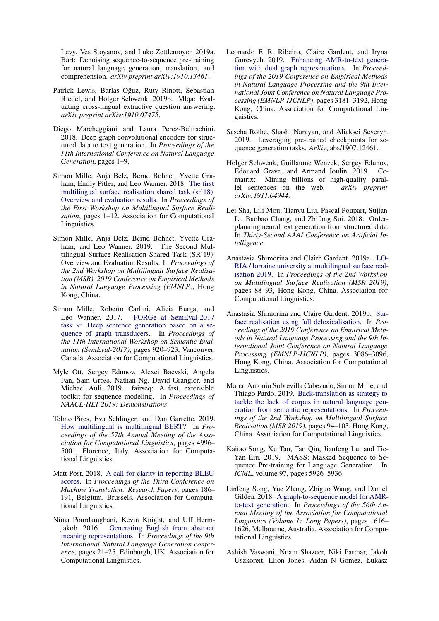Levy, Ves Stoyanov, and Luke Zettlemoyer. 2019a. Bart: Denoising sequence-to-sequence pre-training for natural language generation, translation, and comprehension. *arXiv preprint arXiv:1910.13461*.

- <span id="page-10-14"></span>Patrick Lewis, Barlas Oğuz, Ruty Rinott, Sebastian Riedel, and Holger Schwenk. 2019b. Mlqa: Evaluating cross-lingual extractive question answering. *arXiv preprint arXiv:1910.07475*.
- <span id="page-10-1"></span>Diego Marcheggiani and Laura Perez-Beltrachini. 2018. Deep graph convolutional encoders for structured data to text generation. In *Proceedings of the 11th International Conference on Natural Language Generation*, pages 1–9.
- <span id="page-10-10"></span>Simon Mille, Anja Belz, Bernd Bohnet, Yvette Graham, Emily Pitler, and Leo Wanner. 2018. [The first](http://aclweb.org/anthology/W18-3601) [multilingual surface realisation shared task \(sr'18\):](http://aclweb.org/anthology/W18-3601) [Overview and evaluation results.](http://aclweb.org/anthology/W18-3601) In *Proceedings of the First Workshop on Multilingual Surface Realisation*, pages 1–12. Association for Computational Linguistics.
- <span id="page-10-11"></span>Simon Mille, Anja Belz, Bernd Bohnet, Yvette Graham, and Leo Wanner. 2019. The Second Multilingual Surface Realisation Shared Task (SR'19): Overview and Evaluation Results. In *Proceedings of the 2nd Workshop on Multilingual Surface Realisation (MSR), 2019 Conference on Empirical Methods in Natural Language Processing (EMNLP)*, Hong Kong, China.
- <span id="page-10-6"></span>Simon Mille, Roberto Carlini, Alicia Burga, and Leo Wanner. 2017. [FORGe at SemEval-2017](https://doi.org/10.18653/v1/S17-2158) [task 9: Deep sentence generation based on a se](https://doi.org/10.18653/v1/S17-2158)[quence of graph transducers.](https://doi.org/10.18653/v1/S17-2158) In *Proceedings of the 11th International Workshop on Semantic Evaluation (SemEval-2017)*, pages 920–923, Vancouver, Canada. Association for Computational Linguistics.
- <span id="page-10-15"></span>Myle Ott, Sergey Edunov, Alexei Baevski, Angela Fan, Sam Gross, Nathan Ng, David Grangier, and Michael Auli. 2019. fairseq: A fast, extensible toolkit for sequence modeling. In *Proceedings of NAACL-HLT 2019: Demonstrations*.
- <span id="page-10-2"></span>Telmo Pires, Eva Schlinger, and Dan Garrette. 2019. [How multilingual is multilingual BERT?](https://doi.org/10.18653/v1/P19-1493) In *Proceedings of the 57th Annual Meeting of the Association for Computational Linguistics*, pages 4996– 5001, Florence, Italy. Association for Computational Linguistics.
- <span id="page-10-18"></span>Matt Post. 2018. [A call for clarity in reporting BLEU](https://www.aclweb.org/anthology/W18-6319) [scores.](https://www.aclweb.org/anthology/W18-6319) In *Proceedings of the Third Conference on Machine Translation: Research Papers*, pages 186– 191, Belgium, Brussels. Association for Computational Linguistics.
- <span id="page-10-5"></span>Nima Pourdamghani, Kevin Knight, and Ulf Hermjakob. 2016. [Generating English from abstract](https://doi.org/10.18653/v1/W16-6603) [meaning representations.](https://doi.org/10.18653/v1/W16-6603) In *Proceedings of the 9th International Natural Language Generation conference*, pages 21–25, Edinburgh, UK. Association for Computational Linguistics.
- <span id="page-10-7"></span>Leonardo F. R. Ribeiro, Claire Gardent, and Iryna Gurevych. 2019. [Enhancing AMR-to-text genera](https://doi.org/10.18653/v1/D19-1314)[tion with dual graph representations.](https://doi.org/10.18653/v1/D19-1314) In *Proceedings of the 2019 Conference on Empirical Methods in Natural Language Processing and the 9th International Joint Conference on Natural Language Processing (EMNLP-IJCNLP)*, pages 3181–3192, Hong Kong, China. Association for Computational Linguistics.
- <span id="page-10-4"></span>Sascha Rothe, Shashi Narayan, and Aliaksei Severyn. 2019. Leveraging pre-trained checkpoints for sequence generation tasks. *ArXiv*, abs/1907.12461.
- <span id="page-10-17"></span>Holger Schwenk, Guillaume Wenzek, Sergey Edunov, Edouard Grave, and Armand Joulin. 2019. Ccmatrix: Mining billions of high-quality parallel sentences on the web. *arXiv preprint arXiv:1911.04944*.
- <span id="page-10-0"></span>Lei Sha, Lili Mou, Tianyu Liu, Pascal Poupart, Sujian Li, Baobao Chang, and Zhifang Sui. 2018. Orderplanning neural text generation from structured data. In *Thirty-Second AAAI Conference on Artificial Intelligence*.
- <span id="page-10-12"></span>Anastasia Shimorina and Claire Gardent. 2019a. [LO-](https://doi.org/10.18653/v1/D19-6312)[RIA / lorraine university at multilingual surface real](https://doi.org/10.18653/v1/D19-6312)[isation 2019.](https://doi.org/10.18653/v1/D19-6312) In *Proceedings of the 2nd Workshop on Multilingual Surface Realisation (MSR 2019)*, pages 88–93, Hong Kong, China. Association for Computational Linguistics.
- <span id="page-10-13"></span>Anastasia Shimorina and Claire Gardent. 2019b. [Sur](https://doi.org/10.18653/v1/D19-1305)[face realisation using full delexicalisation.](https://doi.org/10.18653/v1/D19-1305) In *Proceedings of the 2019 Conference on Empirical Methods in Natural Language Processing and the 9th International Joint Conference on Natural Language Processing (EMNLP-IJCNLP)*, pages 3086–3096, Hong Kong, China. Association for Computational Linguistics.
- <span id="page-10-9"></span>Marco Antonio Sobrevilla Cabezudo, Simon Mille, and Thiago Pardo. 2019. [Back-translation as strategy to](https://doi.org/10.18653/v1/D19-6313) [tackle the lack of corpus in natural language gen](https://doi.org/10.18653/v1/D19-6313)[eration from semantic representations.](https://doi.org/10.18653/v1/D19-6313) In *Proceedings of the 2nd Workshop on Multilingual Surface Realisation (MSR 2019)*, pages 94–103, Hong Kong, China. Association for Computational Linguistics.
- <span id="page-10-3"></span>Kaitao Song, Xu Tan, Tao Qin, Jianfeng Lu, and Tie-Yan Liu. 2019. MASS: Masked Sequence to Sequence Pre-training for Language Generation. In *ICML*, volume 97, pages 5926–5936.
- <span id="page-10-8"></span>Linfeng Song, Yue Zhang, Zhiguo Wang, and Daniel Gildea. 2018. [A graph-to-sequence model for AMR](https://www.aclweb.org/anthology/P18-1150)[to-text generation.](https://www.aclweb.org/anthology/P18-1150) In *Proceedings of the 56th Annual Meeting of the Association for Computational Linguistics (Volume 1: Long Papers)*, pages 1616– 1626, Melbourne, Australia. Association for Computational Linguistics.
- <span id="page-10-16"></span>Ashish Vaswani, Noam Shazeer, Niki Parmar, Jakob Uszkoreit, Llion Jones, Aidan N Gomez, Łukasz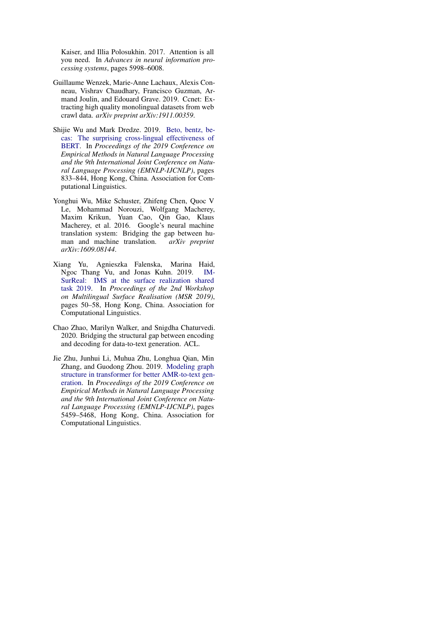Kaiser, and Illia Polosukhin. 2017. Attention is all you need. In *Advances in neural information processing systems*, pages 5998–6008.

- <span id="page-11-4"></span>Guillaume Wenzek, Marie-Anne Lachaux, Alexis Conneau, Vishrav Chaudhary, Francisco Guzman, Armand Joulin, and Edouard Grave. 2019. Ccnet: Extracting high quality monolingual datasets from web crawl data. *arXiv preprint arXiv:1911.00359*.
- <span id="page-11-1"></span>Shijie Wu and Mark Dredze. 2019. [Beto, bentz, be](https://doi.org/10.18653/v1/D19-1077)[cas: The surprising cross-lingual effectiveness of](https://doi.org/10.18653/v1/D19-1077) [BERT.](https://doi.org/10.18653/v1/D19-1077) In *Proceedings of the 2019 Conference on Empirical Methods in Natural Language Processing and the 9th International Joint Conference on Natural Language Processing (EMNLP-IJCNLP)*, pages 833–844, Hong Kong, China. Association for Computational Linguistics.
- <span id="page-11-5"></span>Yonghui Wu, Mike Schuster, Zhifeng Chen, Quoc V Le, Mohammad Norouzi, Wolfgang Macherey, Maxim Krikun, Yuan Cao, Qin Gao, Klaus Macherey, et al. 2016. Google's neural machine translation system: Bridging the gap between human and machine translation. *arXiv preprint arXiv:1609.08144*.
- <span id="page-11-3"></span>Xiang Yu, Agnieszka Falenska, Marina Haid, Ngoc Thang Vu, and Jonas Kuhn. 2019. [IM-](https://doi.org/10.18653/v1/D19-6306)[SurReal: IMS at the surface realization shared](https://doi.org/10.18653/v1/D19-6306) [task 2019.](https://doi.org/10.18653/v1/D19-6306) In *Proceedings of the 2nd Workshop on Multilingual Surface Realisation (MSR 2019)*, pages 50–58, Hong Kong, China. Association for Computational Linguistics.
- <span id="page-11-0"></span>Chao Zhao, Marilyn Walker, and Snigdha Chaturvedi. 2020. Bridging the structural gap between encoding and decoding for data-to-text generation. ACL.
- <span id="page-11-2"></span>Jie Zhu, Junhui Li, Muhua Zhu, Longhua Qian, Min Zhang, and Guodong Zhou. 2019. [Modeling graph](https://doi.org/10.18653/v1/D19-1548) [structure in transformer for better AMR-to-text gen](https://doi.org/10.18653/v1/D19-1548)[eration.](https://doi.org/10.18653/v1/D19-1548) In *Proceedings of the 2019 Conference on Empirical Methods in Natural Language Processing and the 9th International Joint Conference on Natural Language Processing (EMNLP-IJCNLP)*, pages 5459–5468, Hong Kong, China. Association for Computational Linguistics.